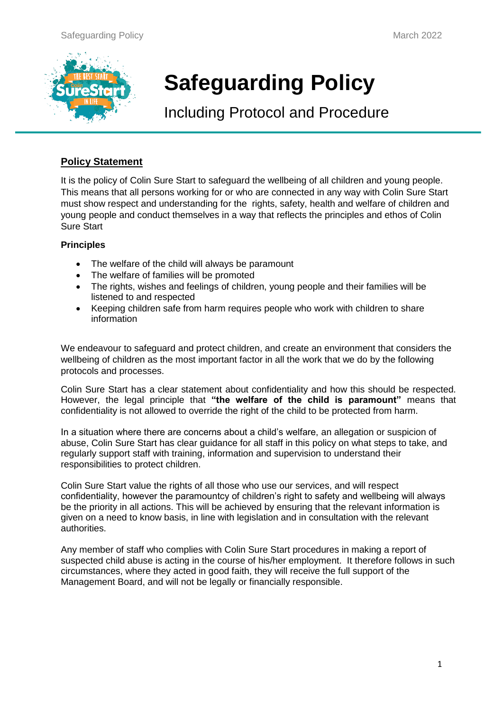

# **Safeguarding Policy**

Including Protocol and Procedure

## **Policy Statement**

It is the policy of Colin Sure Start to safeguard the wellbeing of all children and young people. This means that all persons working for or who are connected in any way with Colin Sure Start must show respect and understanding for the rights, safety, health and welfare of children and young people and conduct themselves in a way that reflects the principles and ethos of Colin Sure Start

### **Principles**

- The welfare of the child will always be paramount
- The welfare of families will be promoted
- The rights, wishes and feelings of children, young people and their families will be listened to and respected
- Keeping children safe from harm requires people who work with children to share information

We endeavour to safeguard and protect children, and create an environment that considers the wellbeing of children as the most important factor in all the work that we do by the following protocols and processes.

Colin Sure Start has a clear statement about confidentiality and how this should be respected. However, the legal principle that **"the welfare of the child is paramount"** means that confidentiality is not allowed to override the right of the child to be protected from harm.

In a situation where there are concerns about a child's welfare, an allegation or suspicion of abuse, Colin Sure Start has clear guidance for all staff in this policy on what steps to take, and regularly support staff with training, information and supervision to understand their responsibilities to protect children.

Colin Sure Start value the rights of all those who use our services, and will respect confidentiality, however the paramountcy of children's right to safety and wellbeing will always be the priority in all actions. This will be achieved by ensuring that the relevant information is given on a need to know basis, in line with legislation and in consultation with the relevant authorities.

Any member of staff who complies with Colin Sure Start procedures in making a report of suspected child abuse is acting in the course of his/her employment. It therefore follows in such circumstances, where they acted in good faith, they will receive the full support of the Management Board, and will not be legally or financially responsible.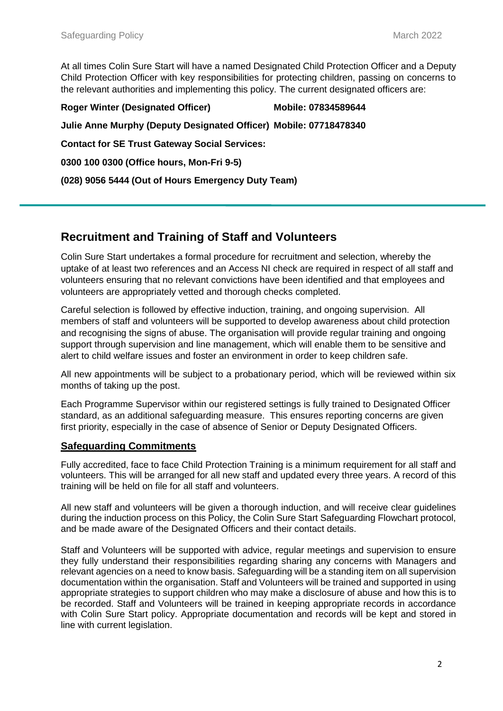At all times Colin Sure Start will have a named Designated Child Protection Officer and a Deputy Child Protection Officer with key responsibilities for protecting children, passing on concerns to the relevant authorities and implementing this policy. The current designated officers are:

**Roger Winter (Designated Officer) Mobile: 07834589644 Julie Anne Murphy (Deputy Designated Officer) Mobile: 07718478340 Contact for SE Trust Gateway Social Services: 0300 100 0300 (Office hours, Mon-Fri 9-5) (028) 9056 5444 (Out of Hours Emergency Duty Team)**

## **Recruitment and Training of Staff and Volunteers**

Colin Sure Start undertakes a formal procedure for recruitment and selection, whereby the uptake of at least two references and an Access NI check are required in respect of all staff and volunteers ensuring that no relevant convictions have been identified and that employees and volunteers are appropriately vetted and thorough checks completed.

Careful selection is followed by effective induction, training, and ongoing supervision. All members of staff and volunteers will be supported to develop awareness about child protection and recognising the signs of abuse. The organisation will provide regular training and ongoing support through supervision and line management, which will enable them to be sensitive and alert to child welfare issues and foster an environment in order to keep children safe.

All new appointments will be subject to a probationary period, which will be reviewed within six months of taking up the post.

Each Programme Supervisor within our registered settings is fully trained to Designated Officer standard, as an additional safeguarding measure. This ensures reporting concerns are given first priority, especially in the case of absence of Senior or Deputy Designated Officers.

## **Safeguarding Commitments**

Fully accredited, face to face Child Protection Training is a minimum requirement for all staff and volunteers. This will be arranged for all new staff and updated every three years. A record of this training will be held on file for all staff and volunteers.

All new staff and volunteers will be given a thorough induction, and will receive clear guidelines during the induction process on this Policy, the Colin Sure Start Safeguarding Flowchart protocol, and be made aware of the Designated Officers and their contact details.

Staff and Volunteers will be supported with advice, regular meetings and supervision to ensure they fully understand their responsibilities regarding sharing any concerns with Managers and relevant agencies on a need to know basis. Safeguarding will be a standing item on all supervision documentation within the organisation. Staff and Volunteers will be trained and supported in using appropriate strategies to support children who may make a disclosure of abuse and how this is to be recorded. Staff and Volunteers will be trained in keeping appropriate records in accordance with Colin Sure Start policy. Appropriate documentation and records will be kept and stored in line with current legislation.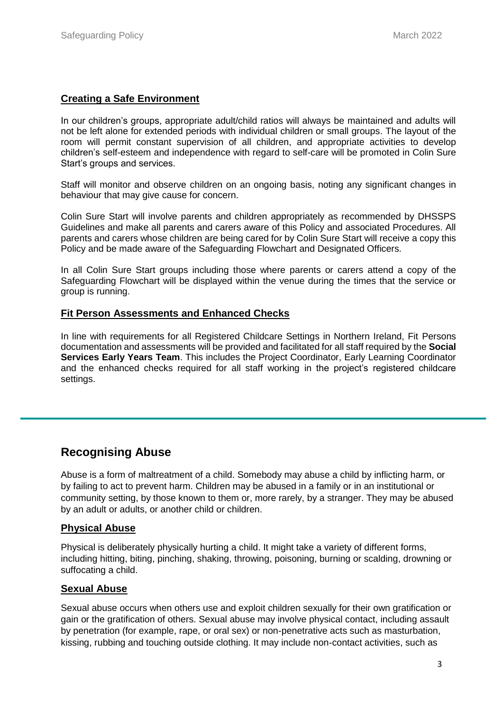## **Creating a Safe Environment**

In our children's groups, appropriate adult/child ratios will always be maintained and adults will not be left alone for extended periods with individual children or small groups. The layout of the room will permit constant supervision of all children, and appropriate activities to develop children's self-esteem and independence with regard to self-care will be promoted in Colin Sure Start's groups and services.

Staff will monitor and observe children on an ongoing basis, noting any significant changes in behaviour that may give cause for concern.

Colin Sure Start will involve parents and children appropriately as recommended by DHSSPS Guidelines and make all parents and carers aware of this Policy and associated Procedures. All parents and carers whose children are being cared for by Colin Sure Start will receive a copy this Policy and be made aware of the Safeguarding Flowchart and Designated Officers.

In all Colin Sure Start groups including those where parents or carers attend a copy of the Safeguarding Flowchart will be displayed within the venue during the times that the service or group is running.

### **Fit Person Assessments and Enhanced Checks**

In line with requirements for all Registered Childcare Settings in Northern Ireland, Fit Persons documentation and assessments will be provided and facilitated for all staff required by the **Social Services Early Years Team**. This includes the Project Coordinator, Early Learning Coordinator and the enhanced checks required for all staff working in the project's registered childcare settings.

## **Recognising Abuse**

Abuse is a form of maltreatment of a child. Somebody may abuse a child by inflicting harm, or by failing to act to prevent harm. Children may be abused in a family or in an institutional or community setting, by those known to them or, more rarely, by a stranger. They may be abused by an adult or adults, or another child or children.

### **Physical Abuse**

Physical is deliberately physically hurting a child. It might take a variety of different forms, including hitting, biting, pinching, shaking, throwing, poisoning, burning or scalding, drowning or suffocating a child.

### **Sexual Abuse**

Sexual abuse occurs when others use and exploit children sexually for their own gratification or gain or the gratification of others. Sexual abuse may involve physical contact, including assault by penetration (for example, rape, or oral sex) or non-penetrative acts such as masturbation, kissing, rubbing and touching outside clothing. It may include non-contact activities, such as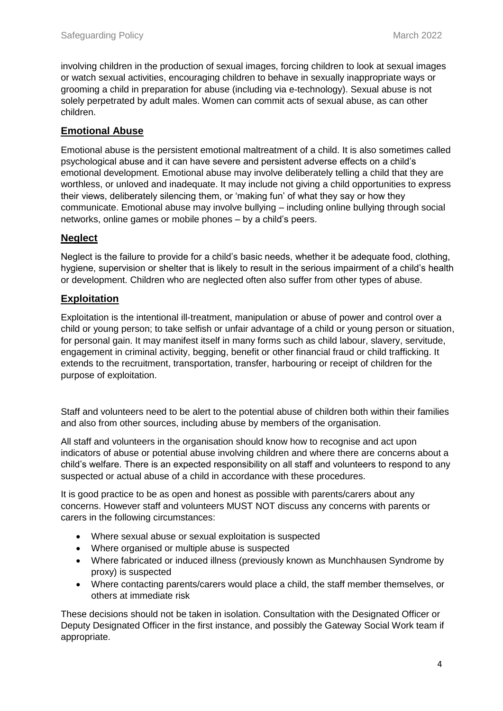involving children in the production of sexual images, forcing children to look at sexual images or watch sexual activities, encouraging children to behave in sexually inappropriate ways or grooming a child in preparation for abuse (including via e-technology). Sexual abuse is not solely perpetrated by adult males. Women can commit acts of sexual abuse, as can other children.

## **Emotional Abuse**

Emotional abuse is the persistent emotional maltreatment of a child. It is also sometimes called psychological abuse and it can have severe and persistent adverse effects on a child's emotional development. Emotional abuse may involve deliberately telling a child that they are worthless, or unloved and inadequate. It may include not giving a child opportunities to express their views, deliberately silencing them, or 'making fun' of what they say or how they communicate. Emotional abuse may involve bullying – including online bullying through social networks, online games or mobile phones – by a child's peers.

## **Neglect**

Neglect is the failure to provide for a child's basic needs, whether it be adequate food, clothing, hygiene, supervision or shelter that is likely to result in the serious impairment of a child's health or development. Children who are neglected often also suffer from other types of abuse.

## **Exploitation**

Exploitation is the intentional ill-treatment, manipulation or abuse of power and control over a child or young person; to take selfish or unfair advantage of a child or young person or situation, for personal gain. It may manifest itself in many forms such as child labour, slavery, servitude, engagement in criminal activity, begging, benefit or other financial fraud or child trafficking. It extends to the recruitment, transportation, transfer, harbouring or receipt of children for the purpose of exploitation.

Staff and volunteers need to be alert to the potential abuse of children both within their families and also from other sources, including abuse by members of the organisation.

All staff and volunteers in the organisation should know how to recognise and act upon indicators of abuse or potential abuse involving children and where there are concerns about a child's welfare. There is an expected responsibility on all staff and volunteers to respond to any suspected or actual abuse of a child in accordance with these procedures.

It is good practice to be as open and honest as possible with parents/carers about any concerns. However staff and volunteers MUST NOT discuss any concerns with parents or carers in the following circumstances:

- Where sexual abuse or sexual exploitation is suspected
- Where organised or multiple abuse is suspected
- Where fabricated or induced illness (previously known as Munchhausen Syndrome by proxy) is suspected
- Where contacting parents/carers would place a child, the staff member themselves, or others at immediate risk

These decisions should not be taken in isolation. Consultation with the Designated Officer or Deputy Designated Officer in the first instance, and possibly the Gateway Social Work team if appropriate.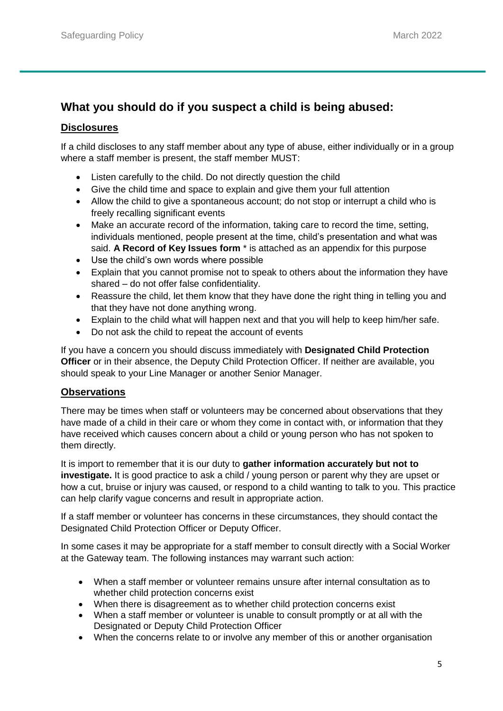## **What you should do if you suspect a child is being abused:**

## **Disclosures**

If a child discloses to any staff member about any type of abuse, either individually or in a group where a staff member is present, the staff member MUST:

- Listen carefully to the child. Do not directly question the child
- Give the child time and space to explain and give them your full attention
- Allow the child to give a spontaneous account; do not stop or interrupt a child who is freely recalling significant events
- Make an accurate record of the information, taking care to record the time, setting, individuals mentioned, people present at the time, child's presentation and what was said. **A Record of Key Issues form** \* is attached as an appendix for this purpose
- Use the child's own words where possible
- Explain that you cannot promise not to speak to others about the information they have shared – do not offer false confidentiality.
- Reassure the child, let them know that they have done the right thing in telling you and that they have not done anything wrong.
- Explain to the child what will happen next and that you will help to keep him/her safe.
- Do not ask the child to repeat the account of events

If you have a concern you should discuss immediately with **Designated Child Protection Officer** or in their absence, the Deputy Child Protection Officer. If neither are available, you should speak to your Line Manager or another Senior Manager.

## **Observations**

There may be times when staff or volunteers may be concerned about observations that they have made of a child in their care or whom they come in contact with, or information that they have received which causes concern about a child or young person who has not spoken to them directly.

It is import to remember that it is our duty to **gather information accurately but not to investigate.** It is good practice to ask a child / young person or parent why they are upset or how a cut, bruise or injury was caused, or respond to a child wanting to talk to you. This practice can help clarify vague concerns and result in appropriate action.

If a staff member or volunteer has concerns in these circumstances, they should contact the Designated Child Protection Officer or Deputy Officer.

In some cases it may be appropriate for a staff member to consult directly with a Social Worker at the Gateway team. The following instances may warrant such action:

- When a staff member or volunteer remains unsure after internal consultation as to whether child protection concerns exist
- When there is disagreement as to whether child protection concerns exist
- When a staff member or volunteer is unable to consult promptly or at all with the Designated or Deputy Child Protection Officer
- When the concerns relate to or involve any member of this or another organisation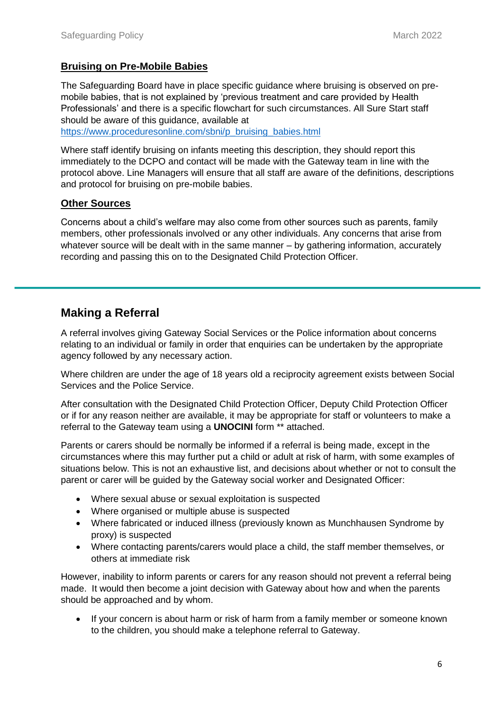## **Bruising on Pre-Mobile Babies**

The Safeguarding Board have in place specific guidance where bruising is observed on premobile babies, that is not explained by 'previous treatment and care provided by Health Professionals' and there is a specific flowchart for such circumstances. All Sure Start staff should be aware of this guidance, available at [https://www.proceduresonline.com/sbni/p\\_bruising\\_babies.html](https://www.proceduresonline.com/sbni/p_bruising_babies.html)

Where staff identify bruising on infants meeting this description, they should report this immediately to the DCPO and contact will be made with the Gateway team in line with the protocol above. Line Managers will ensure that all staff are aware of the definitions, descriptions and protocol for bruising on pre-mobile babies.

## **Other Sources**

Concerns about a child's welfare may also come from other sources such as parents, family members, other professionals involved or any other individuals. Any concerns that arise from whatever source will be dealt with in the same manner – by gathering information, accurately recording and passing this on to the Designated Child Protection Officer.

## **Making a Referral**

A referral involves giving Gateway Social Services or the Police information about concerns relating to an individual or family in order that enquiries can be undertaken by the appropriate agency followed by any necessary action.

Where children are under the age of 18 years old a reciprocity agreement exists between Social Services and the Police Service.

After consultation with the Designated Child Protection Officer, Deputy Child Protection Officer or if for any reason neither are available, it may be appropriate for staff or volunteers to make a referral to the Gateway team using a **UNOCINI** form \*\* attached.

Parents or carers should be normally be informed if a referral is being made, except in the circumstances where this may further put a child or adult at risk of harm, with some examples of situations below. This is not an exhaustive list, and decisions about whether or not to consult the parent or carer will be guided by the Gateway social worker and Designated Officer:

- Where sexual abuse or sexual exploitation is suspected
- Where organised or multiple abuse is suspected
- Where fabricated or induced illness (previously known as Munchhausen Syndrome by proxy) is suspected
- Where contacting parents/carers would place a child, the staff member themselves, or others at immediate risk

However, inability to inform parents or carers for any reason should not prevent a referral being made. It would then become a joint decision with Gateway about how and when the parents should be approached and by whom.

 If your concern is about harm or risk of harm from a family member or someone known to the children, you should make a telephone referral to Gateway.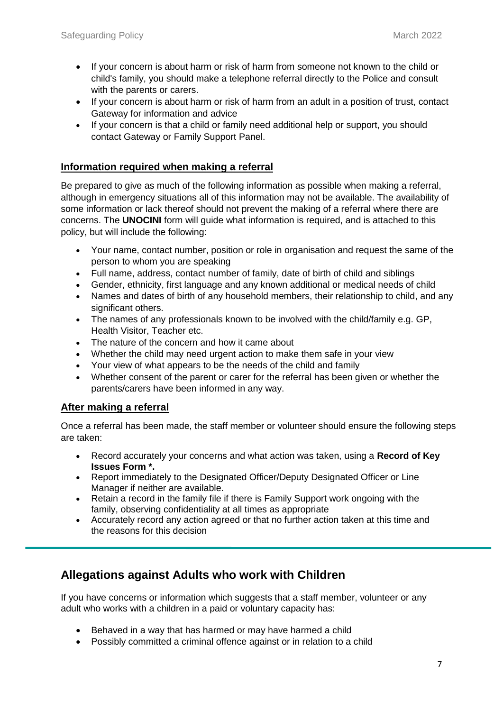- If your concern is about harm or risk of harm from someone not known to the child or child's family, you should make a telephone referral directly to the Police and consult with the parents or carers.
- If your concern is about harm or risk of harm from an adult in a position of trust, contact Gateway for information and advice
- If your concern is that a child or family need additional help or support, you should contact Gateway or Family Support Panel.

## **Information required when making a referral**

Be prepared to give as much of the following information as possible when making a referral, although in emergency situations all of this information may not be available. The availability of some information or lack thereof should not prevent the making of a referral where there are concerns. The **UNOCINI** form will guide what information is required, and is attached to this policy, but will include the following:

- Your name, contact number, position or role in organisation and request the same of the person to whom you are speaking
- Full name, address, contact number of family, date of birth of child and siblings
- Gender, ethnicity, first language and any known additional or medical needs of child
- Names and dates of birth of any household members, their relationship to child, and any significant others.
- The names of any professionals known to be involved with the child/family e.g. GP, Health Visitor, Teacher etc.
- The nature of the concern and how it came about
- Whether the child may need urgent action to make them safe in your view
- Your view of what appears to be the needs of the child and family
- Whether consent of the parent or carer for the referral has been given or whether the parents/carers have been informed in any way.

### **After making a referral**

Once a referral has been made, the staff member or volunteer should ensure the following steps are taken:

- Record accurately your concerns and what action was taken, using a **Record of Key Issues Form \*.**
- Report immediately to the Designated Officer/Deputy Designated Officer or Line Manager if neither are available.
- Retain a record in the family file if there is Family Support work ongoing with the family, observing confidentiality at all times as appropriate
- Accurately record any action agreed or that no further action taken at this time and the reasons for this decision

## **Allegations against Adults who work with Children**

If you have concerns or information which suggests that a staff member, volunteer or any adult who works with a children in a paid or voluntary capacity has:

- Behaved in a way that has harmed or may have harmed a child
- Possibly committed a criminal offence against or in relation to a child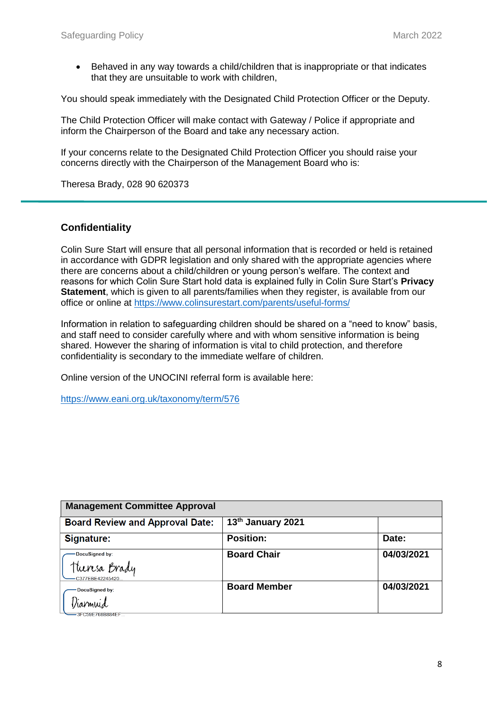Behaved in any way towards a child/children that is inappropriate or that indicates that they are unsuitable to work with children,

You should speak immediately with the Designated Child Protection Officer or the Deputy.

The Child Protection Officer will make contact with Gateway / Police if appropriate and inform the Chairperson of the Board and take any necessary action.

If your concerns relate to the Designated Child Protection Officer you should raise your concerns directly with the Chairperson of the Management Board who is:

Theresa Brady, 028 90 620373

### **Confidentiality**

Colin Sure Start will ensure that all personal information that is recorded or held is retained in accordance with GDPR legislation and only shared with the appropriate agencies where there are concerns about a child/children or young person's welfare. The context and reasons for which Colin Sure Start hold data is explained fully in Colin Sure Start's **Privacy Statement**, which is given to all parents/families when they register, is available from our office or online at<https://www.colinsurestart.com/parents/useful-forms/>

Information in relation to safeguarding children should be shared on a "need to know" basis, and staff need to consider carefully where and with whom sensitive information is being shared. However the sharing of information is vital to child protection, and therefore confidentiality is secondary to the immediate welfare of children.

Online version of the UNOCINI referral form is available here:

<https://www.eani.org.uk/taxonomy/term/576>

| <b>Management Committee Approval</b>               |                     |            |
|----------------------------------------------------|---------------------|------------|
| <b>Board Review and Approval Date:</b>             | 13th January 2021   |            |
| Signature:                                         | <b>Position:</b>    | Date:      |
| DocuSigned by:<br>Theresa Brady<br>C377EBE42245420 | <b>Board Chair</b>  | 04/03/2021 |
| DocuSigned by:<br>Diarmuid<br>=3FC59E768B884EFT    | <b>Board Member</b> | 04/03/2021 |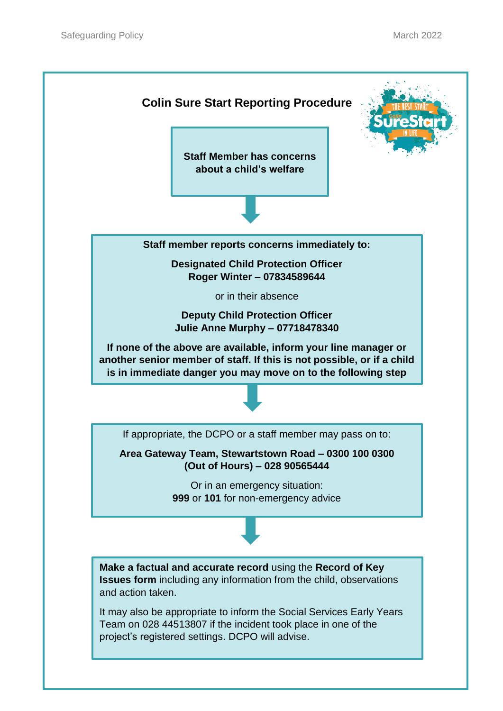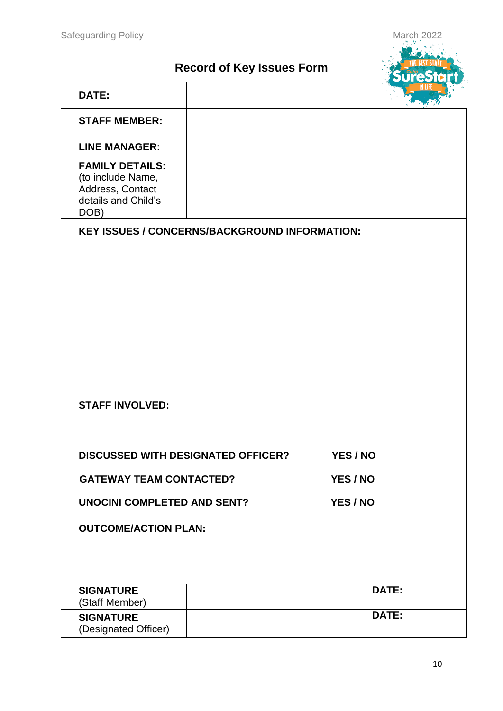## **Record of Key Issues Form**



| <b>STAFF MEMBER:</b>                                                                           |                                                      |          |
|------------------------------------------------------------------------------------------------|------------------------------------------------------|----------|
| <b>LINE MANAGER:</b>                                                                           |                                                      |          |
| <b>FAMILY DETAILS:</b><br>(to include Name,<br>Address, Contact<br>details and Child's<br>DOB) |                                                      |          |
|                                                                                                | <b>KEY ISSUES / CONCERNS/BACKGROUND INFORMATION:</b> |          |
|                                                                                                |                                                      |          |
|                                                                                                |                                                      |          |
|                                                                                                |                                                      |          |
|                                                                                                |                                                      |          |
|                                                                                                |                                                      |          |
|                                                                                                |                                                      |          |
|                                                                                                |                                                      |          |
|                                                                                                |                                                      |          |
|                                                                                                |                                                      |          |
| <b>STAFF INVOLVED:</b>                                                                         |                                                      |          |
|                                                                                                |                                                      |          |
|                                                                                                | <b>DISCUSSED WITH DESIGNATED OFFICER?</b>            | YES / NO |
| <b>GATEWAY TEAM CONTACTED?</b>                                                                 |                                                      | YES / NO |
| <b>UNOCINI COMPLETED AND SENT?</b>                                                             |                                                      | YES / NO |
|                                                                                                |                                                      |          |
| <b>OUTCOME/ACTION PLAN:</b>                                                                    |                                                      |          |
|                                                                                                |                                                      |          |
|                                                                                                |                                                      |          |
| <b>SIGNATURE</b>                                                                               |                                                      | DATE:    |
| (Staff Member)<br><b>SIGNATURE</b>                                                             |                                                      | DATE:    |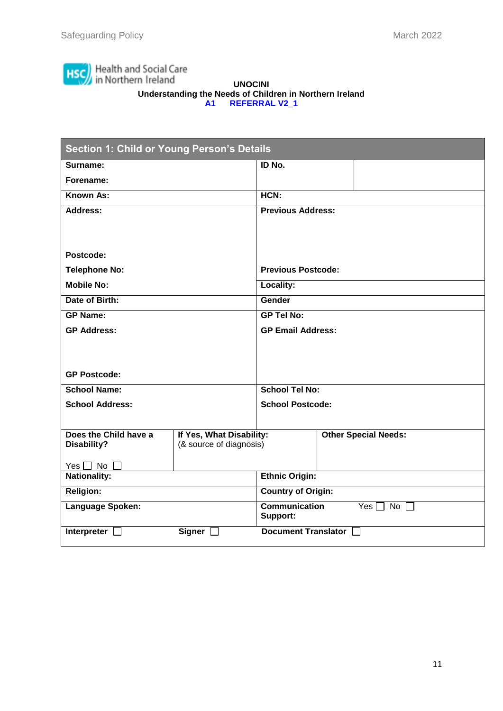

#### **UNOCINI Understanding the Needs of Children in Northern Ireland A1 REFERRAL V2\_1**

| <b>Section 1: Child or Young Person's Details</b> |                           |                                                             |  |                             |
|---------------------------------------------------|---------------------------|-------------------------------------------------------------|--|-----------------------------|
| Surname:                                          |                           | ID No.                                                      |  |                             |
| Forename:                                         |                           |                                                             |  |                             |
| Known As:                                         |                           | HCN:                                                        |  |                             |
| Address:                                          |                           | <b>Previous Address:</b>                                    |  |                             |
|                                                   |                           |                                                             |  |                             |
|                                                   |                           |                                                             |  |                             |
| Postcode:                                         |                           |                                                             |  |                             |
| <b>Telephone No:</b>                              |                           | <b>Previous Postcode:</b>                                   |  |                             |
| <b>Mobile No:</b>                                 |                           | Locality:                                                   |  |                             |
| Date of Birth:                                    |                           | Gender                                                      |  |                             |
| <b>GP Name:</b>                                   |                           | <b>GP Tel No:</b>                                           |  |                             |
| <b>GP Address:</b>                                |                           | <b>GP Email Address:</b>                                    |  |                             |
|                                                   |                           |                                                             |  |                             |
|                                                   |                           |                                                             |  |                             |
| <b>GP Postcode:</b>                               |                           |                                                             |  |                             |
| <b>School Name:</b>                               |                           | <b>School Tel No:</b>                                       |  |                             |
| <b>School Address:</b>                            |                           | <b>School Postcode:</b>                                     |  |                             |
|                                                   |                           |                                                             |  |                             |
| Does the Child have a                             | If Yes, What Disability:  |                                                             |  | <b>Other Special Needs:</b> |
| Disability?                                       | (& source of diagnosis)   |                                                             |  |                             |
| Yes $\Box$ No $\Box$                              |                           |                                                             |  |                             |
| <b>Nationality:</b>                               | <b>Ethnic Origin:</b>     |                                                             |  |                             |
| <b>Religion:</b>                                  | <b>Country of Origin:</b> |                                                             |  |                             |
| Language Spoken:                                  |                           | <b>Communication</b><br>Yes $\Box$<br>No $\Box$<br>Support: |  |                             |
| Interpreter $\square$                             | Signer [                  | <b>Document Translator</b>                                  |  |                             |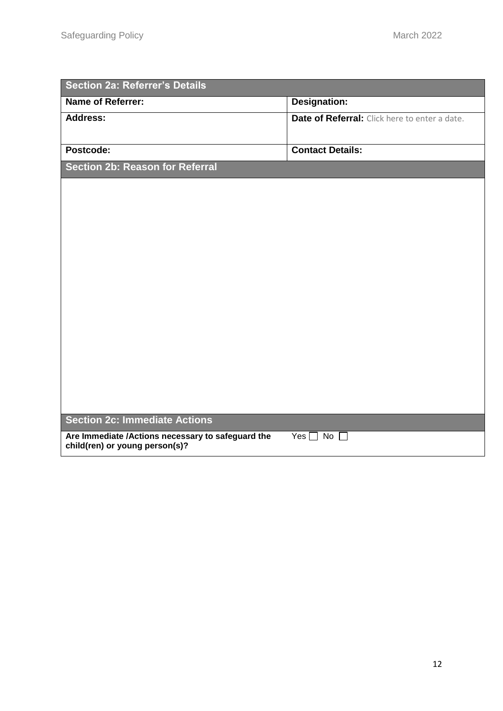| <b>Section 2a: Referrer's Details</b>                                               |                                               |
|-------------------------------------------------------------------------------------|-----------------------------------------------|
| <b>Name of Referrer:</b>                                                            | <b>Designation:</b>                           |
| <b>Address:</b>                                                                     | Date of Referral: Click here to enter a date. |
|                                                                                     |                                               |
| Postcode:                                                                           | <b>Contact Details:</b>                       |
| Section 2b: Reason for Referral                                                     |                                               |
|                                                                                     |                                               |
|                                                                                     |                                               |
|                                                                                     |                                               |
|                                                                                     |                                               |
|                                                                                     |                                               |
|                                                                                     |                                               |
|                                                                                     |                                               |
|                                                                                     |                                               |
|                                                                                     |                                               |
|                                                                                     |                                               |
|                                                                                     |                                               |
|                                                                                     |                                               |
|                                                                                     |                                               |
|                                                                                     |                                               |
| <b>Section 2c: Immediate Actions</b>                                                |                                               |
| Are Immediate /Actions necessary to safeguard the<br>child(ren) or young person(s)? | $Yes \Box No$<br>$\perp$                      |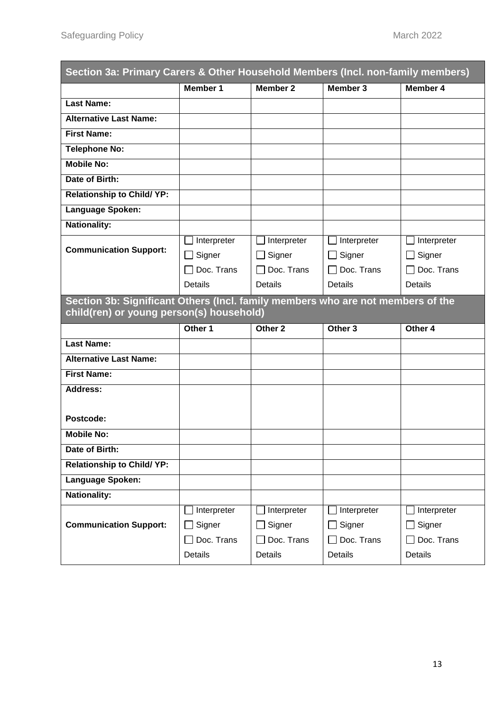| Section 3a: Primary Carers & Other Household Members (Incl. non-family members) |                 |                    |                        |                   |
|---------------------------------------------------------------------------------|-----------------|--------------------|------------------------|-------------------|
|                                                                                 | <b>Member 1</b> | <b>Member 2</b>    | Member 3               | Member 4          |
| <b>Last Name:</b>                                                               |                 |                    |                        |                   |
| <b>Alternative Last Name:</b>                                                   |                 |                    |                        |                   |
| <b>First Name:</b>                                                              |                 |                    |                        |                   |
| <b>Telephone No:</b>                                                            |                 |                    |                        |                   |
| <b>Mobile No:</b>                                                               |                 |                    |                        |                   |
| Date of Birth:                                                                  |                 |                    |                        |                   |
| <b>Relationship to Child/ YP:</b>                                               |                 |                    |                        |                   |
| Language Spoken:                                                                |                 |                    |                        |                   |
| <b>Nationality:</b>                                                             |                 |                    |                        |                   |
|                                                                                 | Interpreter     | Interpreter        | Interpreter            | Interpreter       |
| <b>Communication Support:</b>                                                   | Signer          | $\Box$ Signer      | Signer<br>$\mathbf{L}$ | Signer<br>$\Box$  |
|                                                                                 | Doc. Trans      | $\Box$ Doc. Trans  | $\Box$ Doc. Trans      | $\Box$ Doc. Trans |
|                                                                                 | Details         | <b>Details</b>     | <b>Details</b>         | <b>Details</b>    |
| Section 3b: Significant Others (Incl. family members who are not members of the |                 |                    |                        |                   |
| child(ren) or young person(s) household)                                        |                 |                    |                        |                   |
|                                                                                 | Other 1         | Other <sub>2</sub> | Other <sub>3</sub>     | Other 4           |
| <b>Last Name:</b>                                                               |                 |                    |                        |                   |
| <b>Alternative Last Name:</b>                                                   |                 |                    |                        |                   |
| <b>First Name:</b>                                                              |                 |                    |                        |                   |
| <b>Address:</b>                                                                 |                 |                    |                        |                   |
|                                                                                 |                 |                    |                        |                   |
| Postcode:                                                                       |                 |                    |                        |                   |
| <b>Mobile No:</b>                                                               |                 |                    |                        |                   |
| Date of Birth:                                                                  |                 |                    |                        |                   |
| <b>Relationship to Child/ YP:</b>                                               |                 |                    |                        |                   |
| Language Spoken:                                                                |                 |                    |                        |                   |
| <b>Nationality:</b>                                                             |                 |                    |                        |                   |
|                                                                                 | Interpreter     | Interpreter        | Interpreter            | Interpreter       |
| <b>Communication Support:</b>                                                   | Signer          | Signer             | Signer                 | Signer            |
|                                                                                 | Doc. Trans      | Doc. Trans         | Doc. Trans             | Doc. Trans        |
|                                                                                 | Details         | Details            | Details                | Details           |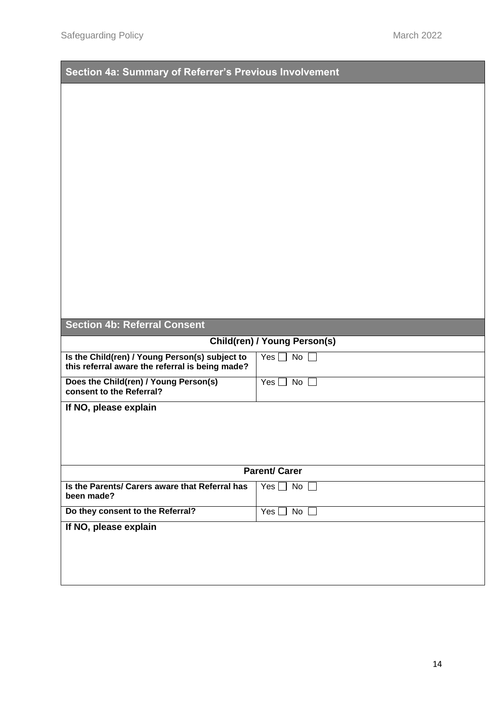| Section 4a: Summary of Referrer's Previous Involvement                                            |                               |
|---------------------------------------------------------------------------------------------------|-------------------------------|
|                                                                                                   |                               |
|                                                                                                   |                               |
|                                                                                                   |                               |
|                                                                                                   |                               |
|                                                                                                   |                               |
|                                                                                                   |                               |
|                                                                                                   |                               |
|                                                                                                   |                               |
|                                                                                                   |                               |
|                                                                                                   |                               |
|                                                                                                   |                               |
|                                                                                                   |                               |
| <b>Section 4b: Referral Consent</b>                                                               |                               |
|                                                                                                   | Child(ren) / Young Person(s)  |
| Is the Child(ren) / Young Person(s) subject to<br>this referral aware the referral is being made? | No $\square$<br>Yes $\Box$    |
| Does the Child(ren) / Young Person(s)<br>consent to the Referral?                                 | Yes $\Box$ No $\Box$          |
| If NO, please explain                                                                             |                               |
|                                                                                                   |                               |
|                                                                                                   |                               |
|                                                                                                   | <b>Parent/Carer</b>           |
| Is the Parents/ Carers aware that Referral has<br>been made?                                      | Yes $\Box$ No $\Box$          |
| Do they consent to the Referral?                                                                  | Yes $\square$<br>No $\square$ |
| If NO, please explain                                                                             |                               |
|                                                                                                   |                               |
|                                                                                                   |                               |
|                                                                                                   |                               |